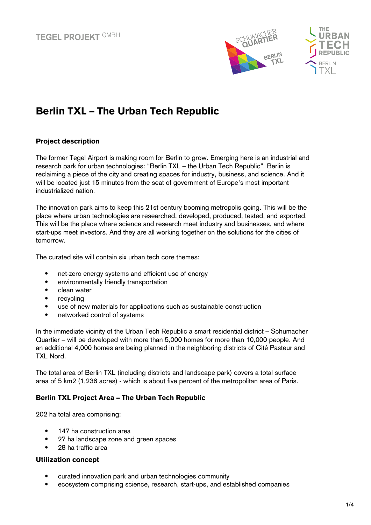



# Berlin TXL – The Urban Tech Republic

# Project description

The former Tegel Airport is making room for Berlin to grow. Emerging here is an industrial and research park for urban technologies: "Berlin TXL – the Urban Tech Republic". Berlin is reclaiming a piece of the city and creating spaces for industry, business, and science. And it will be located just 15 minutes from the seat of government of Europe's most important industrialized nation.

The innovation park aims to keep this 21st century booming metropolis going. This will be the place where urban technologies are researched, developed, produced, tested, and exported. This will be the place where science and research meet industry and businesses, and where start-ups meet investors. And they are all working together on the solutions for the cities of tomorrow.

The curated site will contain six urban tech core themes:

- net-zero energy systems and efficient use of energy
- environmentally friendly transportation
- clean water
- recycling
- use of new materials for applications such as sustainable construction
- networked control of systems

In the immediate vicinity of the Urban Tech Republic a smart residential district – Schumacher Quartier – will be developed with more than 5,000 homes for more than 10,000 people. And an additional 4,000 homes are being planned in the neighboring districts of Cité Pasteur and TXL Nord.

The total area of Berlin TXL (including districts and landscape park) covers a total surface area of 5 km2 (1,236 acres) - which is about five percent of the metropolitan area of Paris.

# Berlin TXL Project Area – The Urban Tech Republic

202 ha total area comprising:

- 147 ha construction area
- 27 ha landscape zone and green spaces
- 28 ha traffic area

#### Utilization concept

- curated innovation park and urban technologies community
- ecosystem comprising science, research, start-ups, and established companies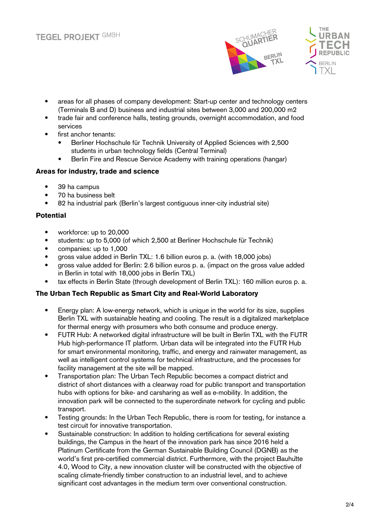



- areas for all phases of company development: Start-up center and technology centers (Terminals B and D) business and industrial sites between 3,000 and 200,000 m2
- trade fair and conference halls, testing grounds, overnight accommodation, and food services
- first anchor tenants:
	- Berliner Hochschule für Technik University of Applied Sciences with 2,500 students in urban technology fields (Central Terminal)
	- Berlin Fire and Rescue Service Academy with training operations (hangar)

## Areas for industry, trade and science

- 39 ha campus
- 70 ha business belt
- 82 ha industrial park (Berlin's largest contiguous inner-city industrial site)

## Potential

- workforce: up to 20,000
- students: up to 5,000 (of which 2,500 at Berliner Hochschule für Technik)
- companies: up to 1,000
- gross value added in Berlin TXL: 1.6 billion euros p. a. (with 18,000 jobs)
- gross value added for Berlin: 2.6 billion euros p. a. (impact on the gross value added in Berlin in total with 18,000 jobs in Berlin TXL)
- tax effects in Berlin State (through development of Berlin TXL): 160 million euros p. a.

# The Urban Tech Republic as Smart City and Real-World Laboratory

- Energy plan: A low-energy network, which is unique in the world for its size, supplies Berlin TXL with sustainable heating and cooling. The result is a digitalized marketplace for thermal energy with prosumers who both consume and produce energy.
- FUTR Hub: A networked digital infrastructure will be built in Berlin TXL with the FUTR Hub high-performance IT platform. Urban data will be integrated into the FUTR Hub for smart environmental monitoring, traffic, and energy and rainwater management, as well as intelligent control systems for technical infrastructure, and the processes for facility management at the site will be mapped.
- Transportation plan: The Urban Tech Republic becomes a compact district and district of short distances with a clearway road for public transport and transportation hubs with options for bike- and carsharing as well as e-mobility. In addition, the innovation park will be connected to the superordinate network for cycling and public transport.
- Testing grounds: In the Urban Tech Republic, there is room for testing, for instance a test circuit for innovative transportation.
- Sustainable construction: In addition to holding certifications for several existing buildings, the Campus in the heart of the innovation park has since 2016 held a Platinum Certificate from the German Sustainable Building Council (DGNB) as the world's first pre-certified commercial district. Furthermore, with the project Bauhütte 4.0, Wood to City, a new innovation cluster will be constructed with the objective of scaling climate-friendly timber construction to an industrial level, and to achieve significant cost advantages in the medium term over conventional construction.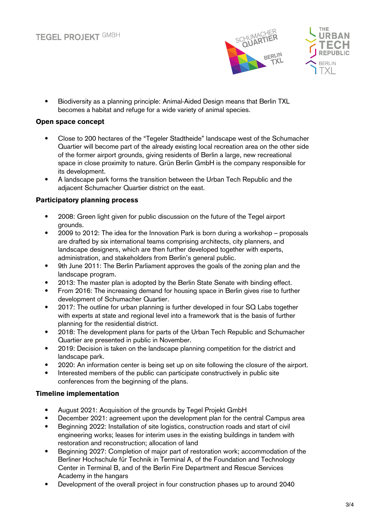



• Biodiversity as a planning principle: Animal-Aided Design means that Berlin TXL becomes a habitat and refuge for a wide variety of animal species.

## Open space concept

- Close to 200 hectares of the "Tegeler Stadtheide" landscape west of the Schumacher Quartier will become part of the already existing local recreation area on the other side of the former airport grounds, giving residents of Berlin a large, new recreational space in close proximity to nature. Grün Berlin GmbH is the company responsible for its development.
- A landscape park forms the transition between the Urban Tech Republic and the adjacent Schumacher Quartier district on the east.

## Participatory planning process

- 2008: Green light given for public discussion on the future of the Tegel airport grounds.
- 2009 to 2012: The idea for the Innovation Park is born during a workshop proposals are drafted by six international teams comprising architects, city planners, and landscape designers, which are then further developed together with experts, administration, and stakeholders from Berlin's general public.
- 9th June 2011: The Berlin Parliament approves the goals of the zoning plan and the landscape program.
- 2013: The master plan is adopted by the Berlin State Senate with binding effect.
- From 2016: The increasing demand for housing space in Berlin gives rise to further development of Schumacher Quartier.
- 2017: The outline for urban planning is further developed in four SQ Labs together with experts at state and regional level into a framework that is the basis of further planning for the residential district.
- 2018: The development plans for parts of the Urban Tech Republic and Schumacher Quartier are presented in public in November.
- 2019: Decision is taken on the landscape planning competition for the district and landscape park.
- 2020: An information center is being set up on site following the closure of the airport.
- Interested members of the public can participate constructively in public site conferences from the beginning of the plans.

# Timeline implementation

- August 2021: Acquisition of the grounds by Tegel Projekt GmbH
- December 2021: agreement upon the development plan for the central Campus area
- Beginning 2022: Installation of site logistics, construction roads and start of civil engineering works; leases for interim uses in the existing buildings in tandem with restoration and reconstruction; allocation of land
- Beginning 2027: Completion of major part of restoration work; accommodation of the Berliner Hochschule für Technik in Terminal A, of the Foundation and Technology Center in Terminal B, and of the Berlin Fire Department and Rescue Services Academy in the hangars
- Development of the overall project in four construction phases up to around 2040